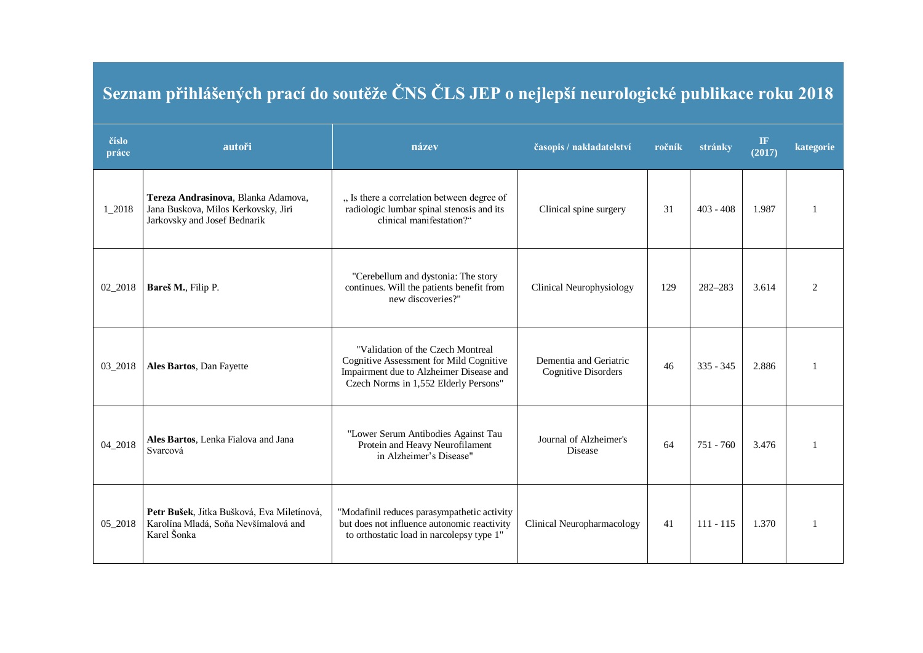## **Seznam přihlášených prací do soutěže ČNS ČLS JEP o nejlepší neurologické publikace roku 2018**

| číslo<br>práce | autoři                                                                                                     | název                                                                                                                                                            | časopis / nakladatelství                             | ročník | stránky     | <b>IF</b><br>(2017) | kategorie      |
|----------------|------------------------------------------------------------------------------------------------------------|------------------------------------------------------------------------------------------------------------------------------------------------------------------|------------------------------------------------------|--------|-------------|---------------------|----------------|
| 1_2018         | Tereza Andrasinova, Blanka Adamova,<br>Jana Buskova, Milos Kerkovsky, Jiri<br>Jarkovsky and Josef Bednarik | " Is there a correlation between degree of<br>radiologic lumbar spinal stenosis and its<br>clinical manifestation?"                                              | Clinical spine surgery                               | 31     | $403 - 408$ | 1.987               |                |
| 02_2018        | Bareš M., Filip P.                                                                                         | "Cerebellum and dystonia: The story<br>continues. Will the patients benefit from<br>new discoveries?"                                                            | <b>Clinical Neurophysiology</b>                      | 129    | 282-283     | 3.614               | $\mathfrak{D}$ |
| 03_2018        | Ales Bartos, Dan Fayette                                                                                   | "Validation of the Czech Montreal<br>Cognitive Assessment for Mild Cognitive<br>Impairment due to Alzheimer Disease and<br>Czech Norms in 1,552 Elderly Persons" | Dementia and Geriatric<br><b>Cognitive Disorders</b> | 46     | $335 - 345$ | 2.886               |                |
| 04_2018        | Ales Bartos, Lenka Fialova and Jana<br>Svarcová                                                            | "Lower Serum Antibodies Against Tau<br>Protein and Heavy Neurofilament<br>in Alzheimer's Disease"                                                                | Journal of Alzheimer's<br>Disease                    | 64     | 751 - 760   | 3.476               |                |
| 05_2018        | Petr Bušek, Jitka Bušková, Eva Miletínová,<br>Karolína Mladá, Soňa Nevšímalová and<br>Karel Šonka          | "Modafinil reduces parasympathetic activity<br>but does not influence autonomic reactivity<br>to orthostatic load in narcolepsy type 1"                          | Clinical Neuropharmacology                           | 41     | $111 - 115$ | 1.370               |                |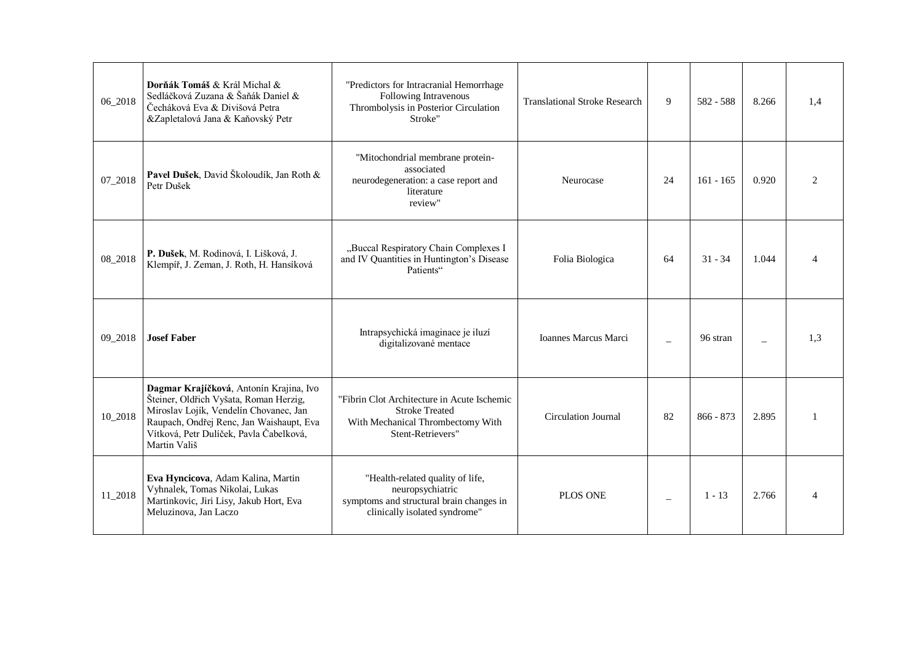| 06_2018 | Dorňák Tomáš & Král Michal &<br>Sedláčková Zuzana & Šaňák Daniel &<br>Čecháková Eva & Divišová Petra<br>&Zapletalová Jana & Kaňovský Petr                                                                                          | "Predictors for Intracranial Hemorrhage<br>Following Intravenous<br>Thrombolysis in Posterior Circulation<br>Stroke"              | <b>Translational Stroke Research</b> | 9  | 582 - 588   | 8.266 | 1,4 |
|---------|------------------------------------------------------------------------------------------------------------------------------------------------------------------------------------------------------------------------------------|-----------------------------------------------------------------------------------------------------------------------------------|--------------------------------------|----|-------------|-------|-----|
| 07_2018 | Pavel Dušek, David Školoudík, Jan Roth &<br>Petr Dušek                                                                                                                                                                             | "Mitochondrial membrane protein-<br>associated<br>neurodegeneration: a case report and<br>literature<br>review"                   | Neurocase                            | 24 | $161 - 165$ | 0.920 |     |
| 08_2018 | P. Dušek, M. Rodinová, I. Lišková, J.<br>Klempíř, J. Zeman, J. Roth, H. Hansíková                                                                                                                                                  | "Buccal Respiratory Chain Complexes I<br>and IV Quantities in Huntington's Disease<br>Patients"                                   | Folia Biologica                      | 64 | $31 - 34$   | 1.044 |     |
| 09_2018 | <b>Josef Faber</b>                                                                                                                                                                                                                 | Intrapsychická imaginace je iluzí<br>digitalizované mentace                                                                       | <b>Ioannes Marcus Marci</b>          |    | 96 stran    |       | 1.3 |
| 10_2018 | Dagmar Krajíčková, Antonín Krajina, Ivo<br>Šteiner, Oldřich Vyšata, Roman Herzig,<br>Miroslav Lojík, Vendelín Chovanec, Jan<br>Raupach, Ondřej Renc, Jan Waishaupt, Eva<br>Vítková, Petr Dulíček, Pavla Čabelková,<br>Martin Vališ | "Fibrin Clot Architecture in Acute Ischemic<br><b>Stroke Treated</b><br>With Mechanical Thrombectomy With<br>Stent-Retrievers"    | <b>Circulation Journal</b>           | 82 | $866 - 873$ | 2.895 |     |
| 11_2018 | Eva Hyncicova, Adam Kalina, Martin<br>Vyhnalek, Tomas Nikolai, Lukas<br>Martinkovic, Jiri Lisy, Jakub Hort, Eva<br>Meluzinova, Jan Laczo                                                                                           | "Health-related quality of life,<br>neuropsychiatric<br>symptoms and structural brain changes in<br>clinically isolated syndrome" | PLOS ONE                             |    | $1 - 13$    | 2.766 |     |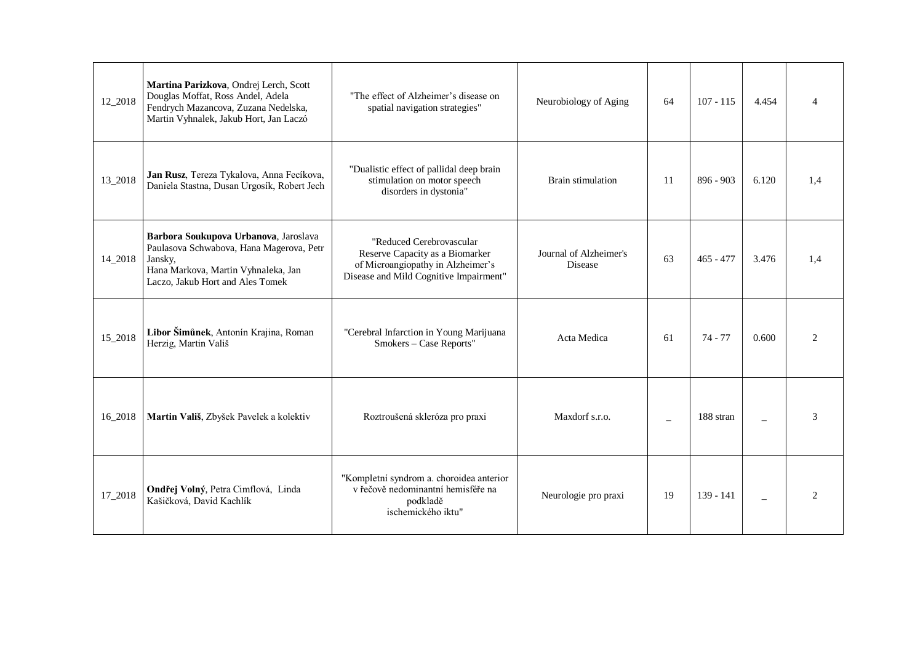| 12_2018 | Martina Parizkova, Ondrej Lerch, Scott<br>Douglas Moffat, Ross Andel, Adela<br>Fendrych Mazancova, Zuzana Nedelska,<br>Martin Vyhnalek, Jakub Hort, Jan Laczó           | "The effect of Alzheimer's disease on<br>spatial navigation strategies"                                                                    | Neurobiology of Aging             | 64 | $107 - 115$          | 4.454 |                               |
|---------|-------------------------------------------------------------------------------------------------------------------------------------------------------------------------|--------------------------------------------------------------------------------------------------------------------------------------------|-----------------------------------|----|----------------------|-------|-------------------------------|
| 13_2018 | Jan Rusz, Tereza Tykalova, Anna Fecíkova,<br>Daniela Stastna, Dusan Urgosík, Robert Jech                                                                                | "Dualistic effect of pallidal deep brain<br>stimulation on motor speech<br>disorders in dystonia"                                          | <b>Brain stimulation</b>          | 11 | $896 - 903$          | 6.120 | 1,4                           |
| 14_2018 | Barbora Soukupova Urbanova, Jaroslava<br>Paulasova Schwabova, Hana Magerova, Petr<br>Jansky,<br>Hana Markova, Martin Vyhnaleka, Jan<br>Laczo, Jakub Hort and Ales Tomek | "Reduced Cerebrovascular<br>Reserve Capacity as a Biomarker<br>of Microangiopathy in Alzheimer's<br>Disease and Mild Cognitive Impairment" | Journal of Alzheimer's<br>Disease | 63 | $465 - 477$          | 3.476 | 1,4                           |
| 15_2018 | Libor Šimůnek, Antonín Krajina, Roman<br>Herzig, Martin Vališ                                                                                                           | "Cerebral Infarction in Young Marijuana<br>Smokers - Case Reports"                                                                         | Acta Medica                       | 61 | $74 - 77$            | 0.600 | $\mathcal{D}_{\mathcal{L}}$   |
| 16_2018 | Martin Vališ, Zbyšek Pavelek a kolektiv                                                                                                                                 | Roztroušená skleróza pro praxi                                                                                                             | Maxdorf s.r.o.                    |    | $188~\mathrm{stran}$ |       | 3                             |
| 17_2018 | Ondřej Volný, Petra Cimflová, Linda<br>Kašičková, David Kachlík                                                                                                         | "Kompletní syndrom a. choroidea anterior<br>v řečově nedominantní hemisféře na<br>podkladě<br>ischemického iktu"                           | Neurologie pro praxi              | 19 | 139 - 141            |       | $\mathfrak{D}_{\mathfrak{p}}$ |